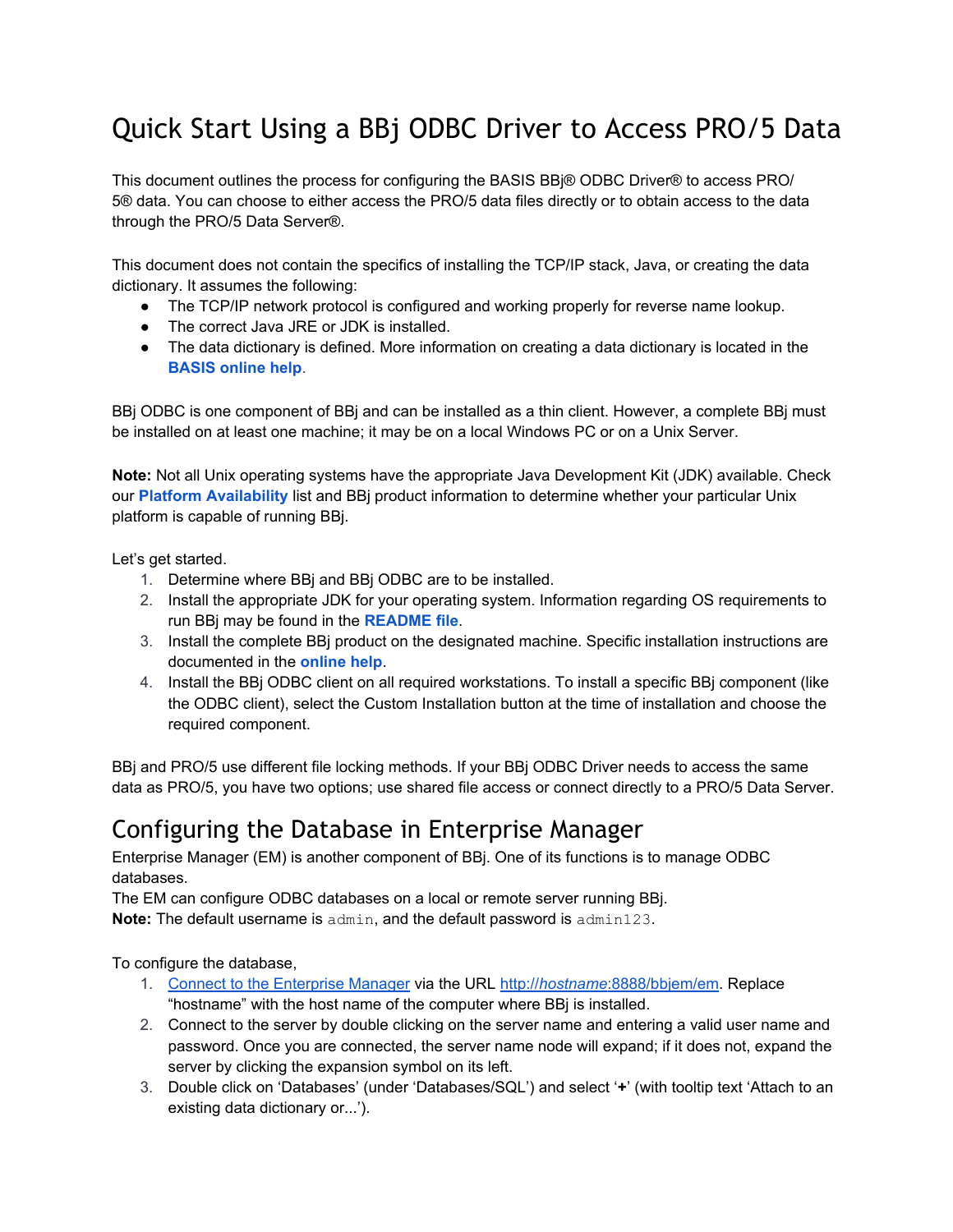# Quick Start Using a BBj ODBC Driver to Access PRO/5 Data

This document outlines the process for configuring the BASIS BBj® ODBC Driver® to access PRO/ 5® data. You can choose to either access the PRO/5 data files directly or to obtain access to the data through the PRO/5 Data Server®.

This document does not contain the specifics of installing the TCP/IP stack, Java, or creating the data dictionary. It assumes the following:

- The TCP/IP network protocol is configured and working properly for reverse name lookup.
- The correct Java JRE or JDK is installed.
- The data dictionary is defined. More information on creating a data dictionary is located in the **[BASIS online help](http://documentation.basis.com/BASISHelp/WebHelp/index.htm)**.

BBj ODBC is one component of BBj and can be installed as a thin client. However, a complete BBj must be installed on at least one machine; it may be on a local Windows PC or on a Unix Server.

**Note:** Not all Unix operating systems have the appropriate Java Development Kit (JDK) available. Check our **[Platform Availability](http://www.basis.com/availability)** list and BBj product information to determine whether your particular Unix platform is capable of running BBj.

Let's get started.

- 1. Determine where BBj and BBj ODBC are to be installed.
- 2. Install the appropriate JDK for your operating system. Information regarding OS requirements to run BBj may be found in the **[README file](http://www.basis.com/readme-bbj)**.
- 3. Install the complete BBj product on the designated machine. Specific installation instructions are documented in the **[online help](http://documentation.basis.com/BASISHelp/WebHelp/index.htm)**.
- 4. Install the BBj ODBC client on all required workstations. To install a specific BBj component (like the ODBC client), select the Custom Installation button at the time of installation and choose the required component.

BBj and PRO/5 use different file locking methods. If your BBj ODBC Driver needs to access the same data as PRO/5, you have two options; use shared file access or connect directly to a PRO/5 Data Server.

## Configuring the Database in Enterprise Manager

Enterprise Manager (EM) is another component of BBj. One of its functions is to manage ODBC databases.

The EM can configure ODBC databases on a local or remote server running BBj.

**Note:** The default username is admin, and the default password is admin123.

To configure the database,

- 1. [Connect to the Enterprise Manager](http://documentation.basis.com/BASISHelp/WebHelp/eclipse-em/em-getting_started.htm) via the URL [http://](http://hostname:8888/bbjem/em)*[hostname](http://hostname:8888/bbjem/em)*[:8888/bbjem/em](http://hostname:8888/bbjem/em). Replace "hostname" with the host name of the computer where BBj is installed.
- 2. Connect to the server by double clicking on the server name and entering a valid user name and password. Once you are connected, the server name node will expand; if it does not, expand the server by clicking the expansion symbol on its left.
- 3. Double click on 'Databases' (under 'Databases/SQL') and select '**+**' (with tooltip text 'Attach to an existing data dictionary or...').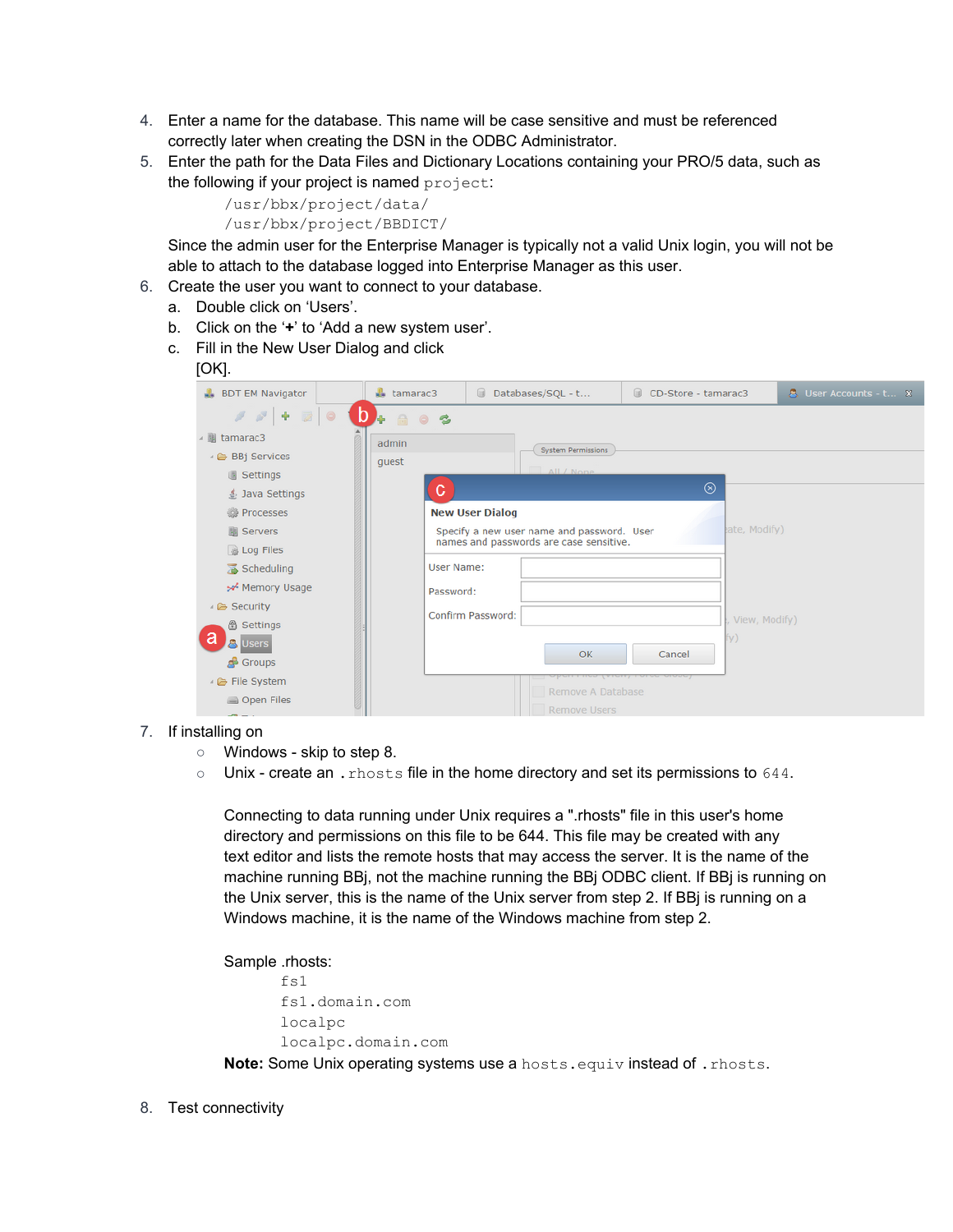- 4. Enter a name for the database. This name will be case sensitive and must be referenced correctly later when creating the DSN in the ODBC Administrator.
- 5. Enter the path for the Data Files and Dictionary Locations containing your PRO/5 data, such as the following if your project is named project:

```
/usr/bbx/project/data/
```
/usr/bbx/project/BBDICT/

Since the admin user for the Enterprise Manager is typically not a valid Unix login, you will not be able to attach to the database logged into Enterprise Manager as this user.

- 6. Create the user you want to connect to your database.
	- a. Double click on 'Users'.
	- b. Click on the '**+**' to 'Add a new system user'.
	- c. Fill in the New User Dialog and click

#### [OK].

| <b>BDT EM Navigator</b> | $\mathbf{L}$ tamarac3 | Databases/SQL - t<br>$\Box$                | CD-Store - tamarac3<br>$\Box$   | & User Accounts - t × |
|-------------------------|-----------------------|--------------------------------------------|---------------------------------|-----------------------|
| $\bullet$               | $D -$<br>803          |                                            |                                 |                       |
| ▲ 圖 tamarac3            | admin                 |                                            |                                 |                       |
| BBj Services            | guest                 | <b>System Permissions</b>                  |                                 |                       |
| Settings                |                       | All / None                                 |                                 |                       |
| ≰ Java Settings         | c.                    |                                            | ⊗                               |                       |
| <b>Processes</b>        |                       | <b>New User Dialog</b>                     |                                 |                       |
| <b>■</b> Servers        |                       | Specify a new user name and password. User | ate, Modify)                    |                       |
| <b>&amp; Log Files</b>  |                       | names and passwords are case sensitive.    |                                 |                       |
| Scheduling              | User Name:            |                                            |                                 |                       |
| ** Memory Usage         | Password:             |                                            |                                 |                       |
| ▲ Security              |                       | Confirm Password:                          |                                 |                       |
| <b>&amp; Settings</b>   |                       |                                            | View, Modify)                   |                       |
| a<br><b>&amp;</b> Users |                       |                                            | fy)                             |                       |
| <b>B</b> Groups         |                       | OK                                         | Cancel                          |                       |
| File System             |                       |                                            | <u>rino (vienų rereo enese)</u> |                       |
| Open Files              |                       | Remove A Database<br><b>Remove Users</b>   |                                 |                       |

- 7. If installing on
	- Windows skip to step 8.
	- Unix create an .rhosts file in the home directory and set its permissions to 644.

Connecting to data running under Unix requires a ".rhosts" file in this user's home directory and permissions on this file to be 644. This file may be created with any text editor and lists the remote hosts that may access the server. It is the name of the machine running BBj, not the machine running the BBj ODBC client. If BBj is running on the Unix server, this is the name of the Unix server from step 2. If BBj is running on a Windows machine, it is the name of the Windows machine from step 2.

Sample .rhosts:

```
f \ge 1fs1.domain.com 
localpc 
localpc.domain.com
```
**Note:** Some Unix operating systems use a hosts.equiv instead of . rhosts.

8. Test connectivity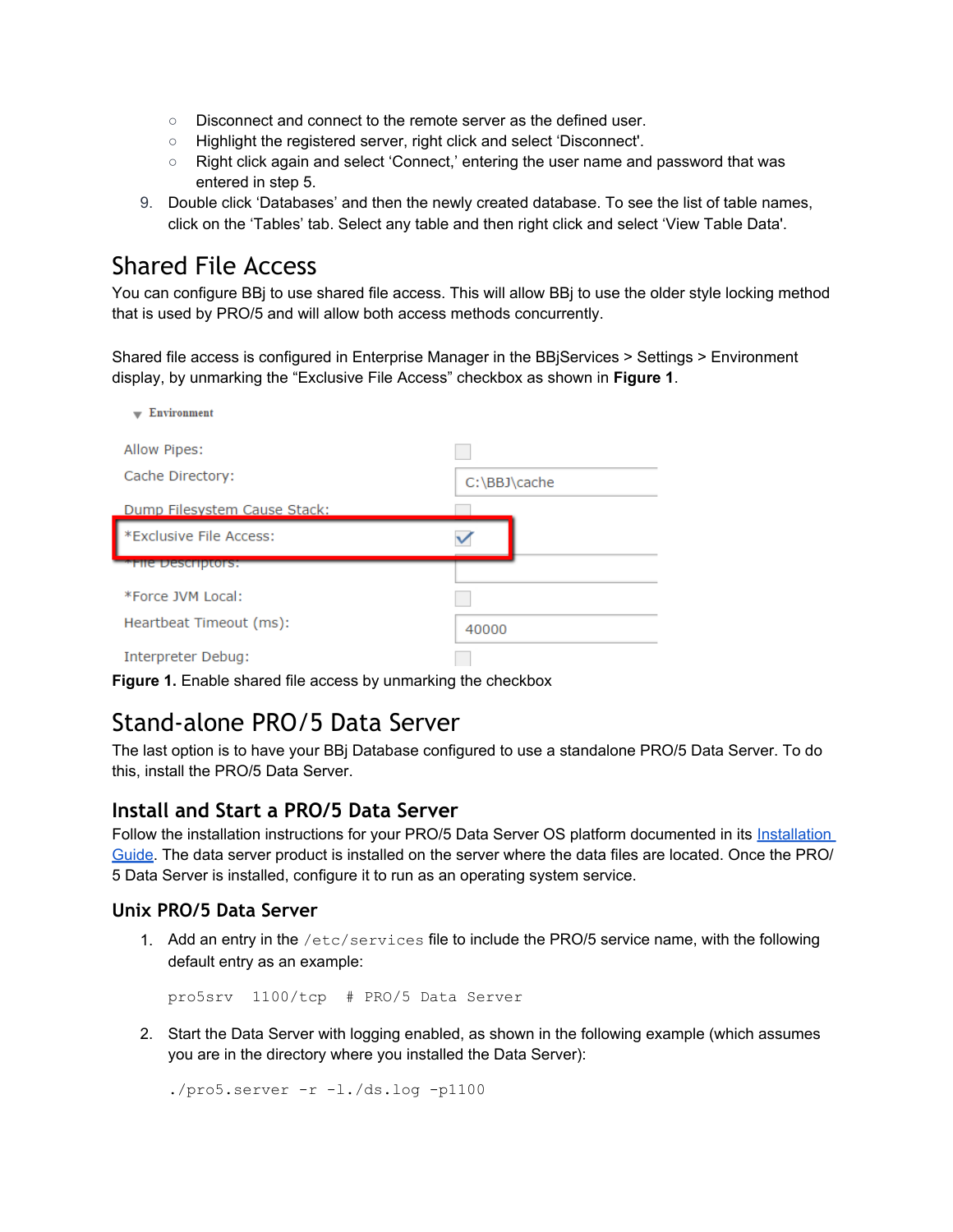- Disconnect and connect to the remote server as the defined user.
- Highlight the registered server, right click and select 'Disconnect'.
- Right click again and select 'Connect,' entering the user name and password that was entered in step 5.
- 9. Double click 'Databases' and then the newly created database. To see the list of table names, click on the 'Tables' tab. Select any table and then right click and select 'View Table Data'.

# Shared File Access

You can configure BBj to use shared file access. This will allow BBj to use the older style locking method that is used by PRO/5 and will allow both access methods concurrently.

Shared file access is configured in Enterprise Manager in the BBjServices > Settings > Environment display, by unmarking the "Exclusive File Access" checkbox as shown in **Figure 1**.

| <b>Environment</b>           |              |
|------------------------------|--------------|
| Allow Pipes:                 |              |
| Cache Directory:             | C:\BBJ\cache |
| Dump Filesystem Cause Stack: |              |
| *Exclusive File Access:      |              |
| <b>THE DESCRIPTORS:</b>      |              |
| *Force JVM Local:            |              |
| Heartbeat Timeout (ms):      | 40000        |
| Interpreter Debug:           |              |

**Figure 1.** Enable shared file access by unmarking the checkbox

### Stand-alone PRO/5 Data Server

The last option is to have your BBj Database configured to use a standalone PRO/5 Data Server. To do this, install the PRO/5 Data Server.

### **Install and Start a PRO/5 Data Server**

Follow the installation instructions for your PRO/5 Data Server OS platform documented in its Installation [Guide.](http://www.basis.com/readme-pro5ds) The data server product is installed on the server where the data files are located. Once the PRO/ 5 Data Server is installed, configure it to run as an operating system service.

#### **Unix PRO/5 Data Server**

1. Add an entry in the  $/etc/services$  file to include the PRO/5 service name, with the following default entry as an example:

pro5srv 1100/tcp # PRO/5 Data Server

2. Start the Data Server with logging enabled, as shown in the following example (which assumes you are in the directory where you installed the Data Server):

 $./$ pro5.server  $-r -1./ds.l$ oq  $-p1100$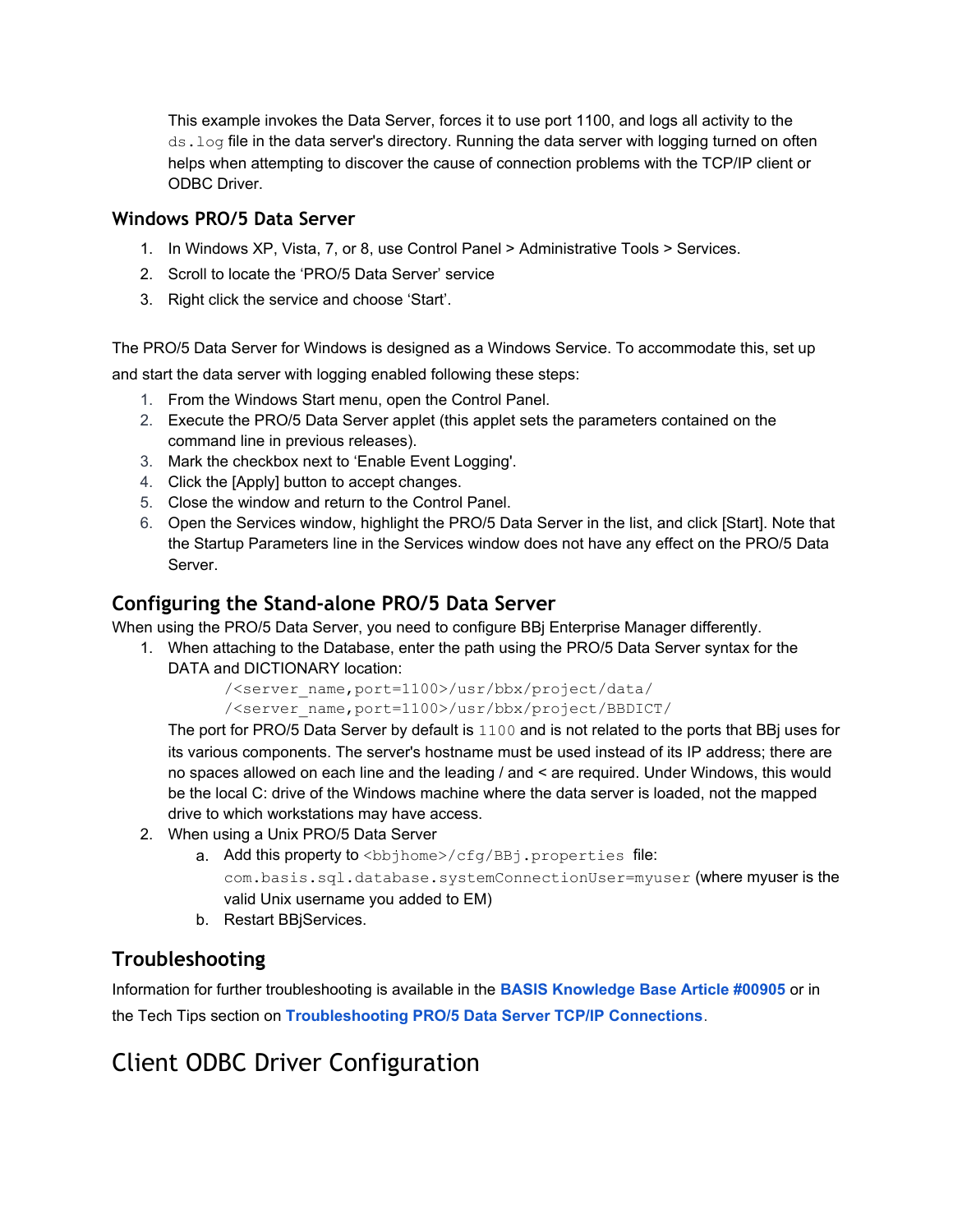This example invokes the Data Server, forces it to use port 1100, and logs all activity to the ds. log file in the data server's directory. Running the data server with logging turned on often helps when attempting to discover the cause of connection problems with the TCP/IP client or ODBC Driver.

#### **Windows PRO/5 Data Server**

- 1. In Windows XP, Vista, 7, or 8, use Control Panel > Administrative Tools > Services.
- 2. Scroll to locate the 'PRO/5 Data Server' service
- 3. Right click the service and choose 'Start'.

The PRO/5 Data Server for Windows is designed as a Windows Service. To accommodate this, set up and start the data server with logging enabled following these steps:

- 1. From the Windows Start menu, open the Control Panel.
- 2. Execute the PRO/5 Data Server applet (this applet sets the parameters contained on the command line in previous releases).
- 3. Mark the checkbox next to 'Enable Event Logging'.
- 4. Click the [Apply] button to accept changes.
- 5. Close the window and return to the Control Panel.
- 6. Open the Services window, highlight the PRO/5 Data Server in the list, and click [Start]. Note that the Startup Parameters line in the Services window does not have any effect on the PRO/5 Data Server.

### **Configuring the Stand-alone PRO/5 Data Server**

When using the PRO/5 Data Server, you need to configure BBj Enterprise Manager differently.

1. When attaching to the Database, enter the path using the PRO/5 Data Server syntax for the DATA and DICTIONARY location:

/<server\_name,port=1100>/usr/bbx/project/data/

/<server\_name,port=1100>/usr/bbx/project/BBDICT/

The port for PRO/5 Data Server by default is 1100 and is not related to the ports that BBj uses for its various components. The server's hostname must be used instead of its IP address; there are no spaces allowed on each line and the leading / and < are required. Under Windows, this would be the local C: drive of the Windows machine where the data server is loaded, not the mapped drive to which workstations may have access.

- 2. When using a Unix PRO/5 Data Server
	- a. Add this property to <bbjhome>/cfg/BBj.properties file: com.basis.sql.database.systemConnectionUser=myuser (where myuser is the valid Unix username you added to EM)
	- b. Restart BBjServices.

### **Troubleshooting**

Information for further troubleshooting is available in the **[BASIS Knowledge Base Article #00905](http://www.basis.com/kb00905)** or in the Tech Tips section on **[Troubleshooting PRO/5 Data Server TCP/IP Connections](http://www.basis.com/troubleshooting-pro5ds-tcpip-connections)**.

# Client ODBC Driver Configuration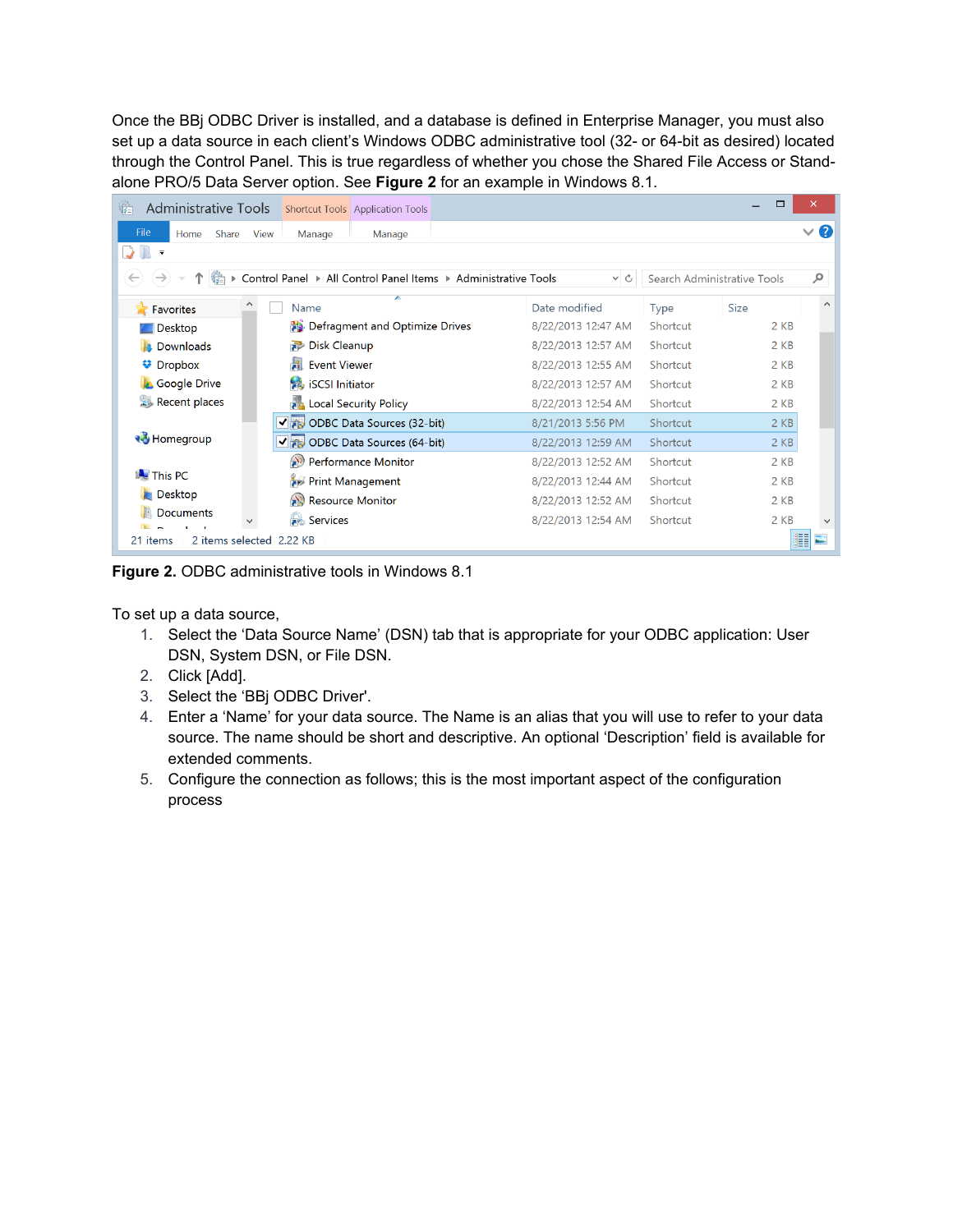Once the BBj ODBC Driver is installed, and a database is defined in Enterprise Manager, you must also set up a data source in each client's Windows ODBC administrative tool (32- or 64-bit as desired) located through the Control Panel. This is true regardless of whether you chose the Shared File Access or Standalone PRO/5 Data Server option. See **Figure 2** for an example in Windows 8.1.

| स्ति<br>Administrative Tools         | <b>Shortcut Tools Application Tools</b>                        |                    |             | Г                           | $\times$            |
|--------------------------------------|----------------------------------------------------------------|--------------------|-------------|-----------------------------|---------------------|
| File<br>Share<br>Home                | <b>View</b><br>Manage<br>Manage                                |                    |             |                             | Ø<br>$\checkmark$   |
| $\overline{\phantom{a}}$             |                                                                |                    |             |                             |                     |
| $\overline{\overline{a}}$            | Control Panel ▶ All Control Panel Items ▶ Administrative Tools | $\vee$ C           |             | Search Administrative Tools | م                   |
| Α<br>Favorites                       | ▴<br>Name                                                      | Date modified      | <b>Type</b> | <b>Size</b>                 | $\hat{\phantom{a}}$ |
| <b>Desktop</b>                       | Defragment and Optimize Drives                                 | 8/22/2013 12:47 AM | Shortcut    | 2 KB                        |                     |
| <b>Downloads</b>                     | Disk Cleanup                                                   | 8/22/2013 12:57 AM | Shortcut    | $2$ KB                      |                     |
| <b>V</b> Dropbox                     | <b>Event Viewer</b>                                            | 8/22/2013 12:55 AM | Shortcut    | 2 KB                        |                     |
| <b>Google Drive</b>                  | iSCSI Initiator                                                | 8/22/2013 12:57 AM | Shortcut    | 2 KB                        |                     |
| Recent places                        | <b>Local Security Policy</b><br>Ħд                             | 8/22/2013 12:54 AM | Shortcut    | 2 KB                        |                     |
|                                      | √ n ODBC Data Sources (32-bit)                                 | 8/21/2013 5:56 PM  | Shortcut    | 2 KB                        |                     |
| <b>R</b> Homegroup                   | √ a ODBC Data Sources (64-bit)                                 | 8/22/2013 12:59 AM | Shortcut    | $2$ KB                      |                     |
|                                      | Performance Monitor                                            | 8/22/2013 12:52 AM | Shortcut    | $2$ KB                      |                     |
| <b>N</b> This PC                     | Print Management                                               | 8/22/2013 12:44 AM | Shortcut    | 2 KB                        |                     |
| <b>Desktop</b>                       | Resource Monitor                                               | 8/22/2013 12:52 AM | Shortcut    | 2 KB                        |                     |
| Documents                            | Services                                                       | 8/22/2013 12:54 AM | Shortcut    | 2 KB                        | $\checkmark$        |
| 2 items selected 2.22 KB<br>21 items |                                                                |                    |             |                             | 單                   |

**Figure 2.** ODBC administrative tools in Windows 8.1

To set up a data source,

- 1. Select the 'Data Source Name' (DSN) tab that is appropriate for your ODBC application: User DSN, System DSN, or File DSN.
- 2. Click [Add].
- 3. Select the 'BBj ODBC Driver'.
- 4. Enter a 'Name' for your data source. The Name is an alias that you will use to refer to your data source. The name should be short and descriptive. An optional 'Description' field is available for extended comments.
- 5. Configure the connection as follows; this is the most important aspect of the configuration process